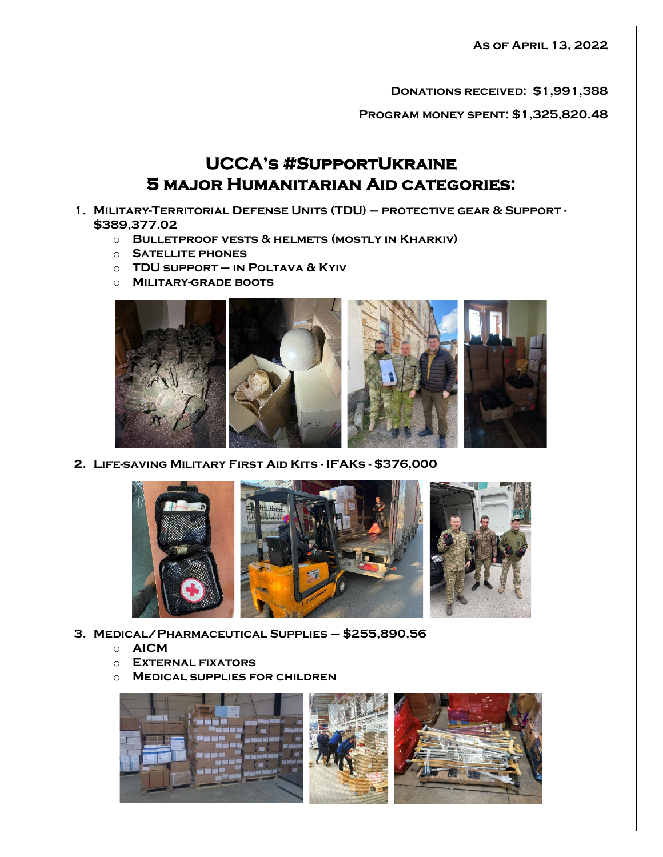**As of April 13, 2022**

**Donations received: \$1,991,388**

**Program money spent: \$1,325,820.48**

## **UCCA's #SupportUkraine 5 major Humanitarian Aid categories:**

- **1. Military-Territorial Defense Units (TDU) – protective gear & Support - \$389,377.02**
	- o **Bulletproof vests & helmets (mostly in Kharkiv)**
	- o **Satellite phones**
	- o **TDU support – in Poltava & Kyiv**
	- o **Military-grade boots**



**2. Life-saving Military First Aid Kits - IFAKs - \$376,000**



- **3. Medical/Pharmaceutical Supplies – \$255,890.56**
	- o **AICM**
	- o **External fixators**
	- o **Medical supplies for children**